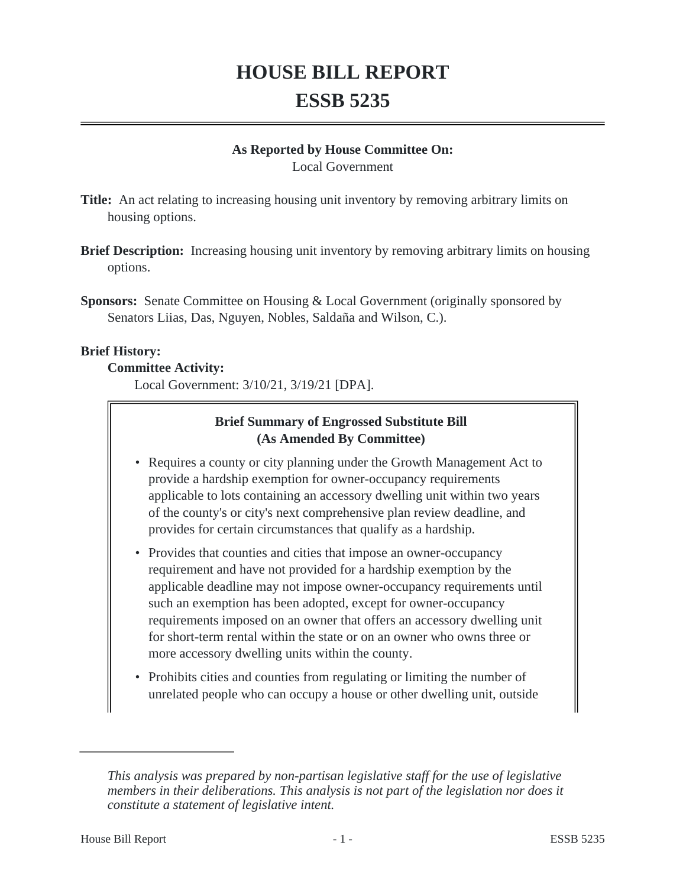# **HOUSE BILL REPORT ESSB 5235**

#### **As Reported by House Committee On:**

Local Government

**Title:** An act relating to increasing housing unit inventory by removing arbitrary limits on housing options.

- **Brief Description:** Increasing housing unit inventory by removing arbitrary limits on housing options.
- **Sponsors:** Senate Committee on Housing & Local Government (originally sponsored by Senators Liias, Das, Nguyen, Nobles, Saldaña and Wilson, C.).

#### **Brief History:**

#### **Committee Activity:**

Local Government: 3/10/21, 3/19/21 [DPA].

## **Brief Summary of Engrossed Substitute Bill (As Amended By Committee)**

- Requires a county or city planning under the Growth Management Act to provide a hardship exemption for owner-occupancy requirements applicable to lots containing an accessory dwelling unit within two years of the county's or city's next comprehensive plan review deadline, and provides for certain circumstances that qualify as a hardship.
- Provides that counties and cities that impose an owner-occupancy requirement and have not provided for a hardship exemption by the applicable deadline may not impose owner-occupancy requirements until such an exemption has been adopted, except for owner-occupancy requirements imposed on an owner that offers an accessory dwelling unit for short-term rental within the state or on an owner who owns three or more accessory dwelling units within the county.
- Prohibits cities and counties from regulating or limiting the number of unrelated people who can occupy a house or other dwelling unit, outside

*This analysis was prepared by non-partisan legislative staff for the use of legislative members in their deliberations. This analysis is not part of the legislation nor does it constitute a statement of legislative intent.*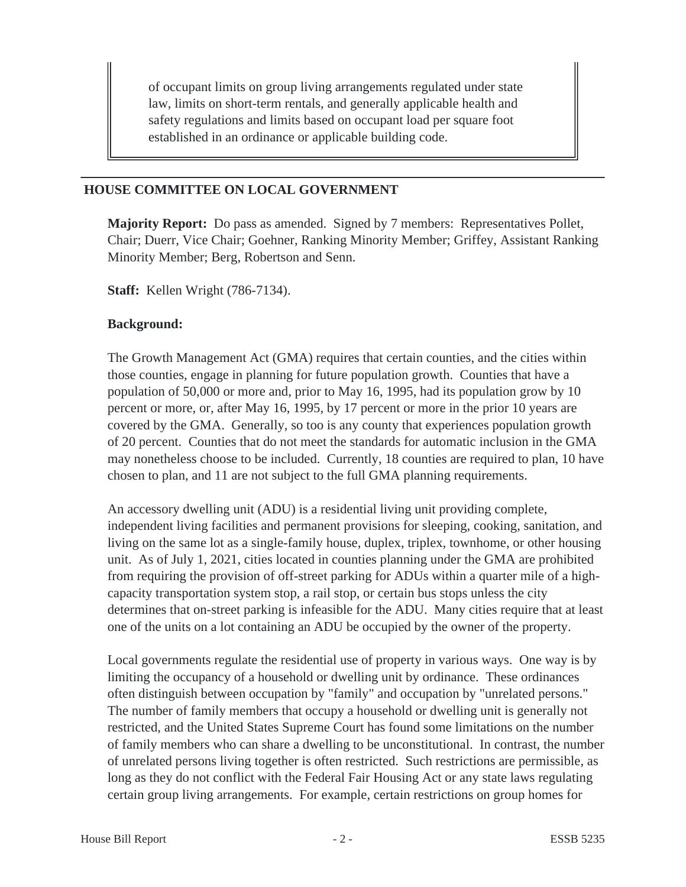of occupant limits on group living arrangements regulated under state law, limits on short-term rentals, and generally applicable health and safety regulations and limits based on occupant load per square foot established in an ordinance or applicable building code.

#### **HOUSE COMMITTEE ON LOCAL GOVERNMENT**

**Majority Report:** Do pass as amended. Signed by 7 members: Representatives Pollet, Chair; Duerr, Vice Chair; Goehner, Ranking Minority Member; Griffey, Assistant Ranking Minority Member; Berg, Robertson and Senn.

**Staff:** Kellen Wright (786-7134).

#### **Background:**

The Growth Management Act (GMA) requires that certain counties, and the cities within those counties, engage in planning for future population growth. Counties that have a population of 50,000 or more and, prior to May 16, 1995, had its population grow by 10 percent or more, or, after May 16, 1995, by 17 percent or more in the prior 10 years are covered by the GMA. Generally, so too is any county that experiences population growth of 20 percent. Counties that do not meet the standards for automatic inclusion in the GMA may nonetheless choose to be included. Currently, 18 counties are required to plan, 10 have chosen to plan, and 11 are not subject to the full GMA planning requirements.

An accessory dwelling unit (ADU) is a residential living unit providing complete, independent living facilities and permanent provisions for sleeping, cooking, sanitation, and living on the same lot as a single-family house, duplex, triplex, townhome, or other housing unit. As of July 1, 2021, cities located in counties planning under the GMA are prohibited from requiring the provision of off-street parking for ADUs within a quarter mile of a highcapacity transportation system stop, a rail stop, or certain bus stops unless the city determines that on-street parking is infeasible for the ADU. Many cities require that at least one of the units on a lot containing an ADU be occupied by the owner of the property.

Local governments regulate the residential use of property in various ways. One way is by limiting the occupancy of a household or dwelling unit by ordinance. These ordinances often distinguish between occupation by "family" and occupation by "unrelated persons." The number of family members that occupy a household or dwelling unit is generally not restricted, and the United States Supreme Court has found some limitations on the number of family members who can share a dwelling to be unconstitutional. In contrast, the number of unrelated persons living together is often restricted. Such restrictions are permissible, as long as they do not conflict with the Federal Fair Housing Act or any state laws regulating certain group living arrangements. For example, certain restrictions on group homes for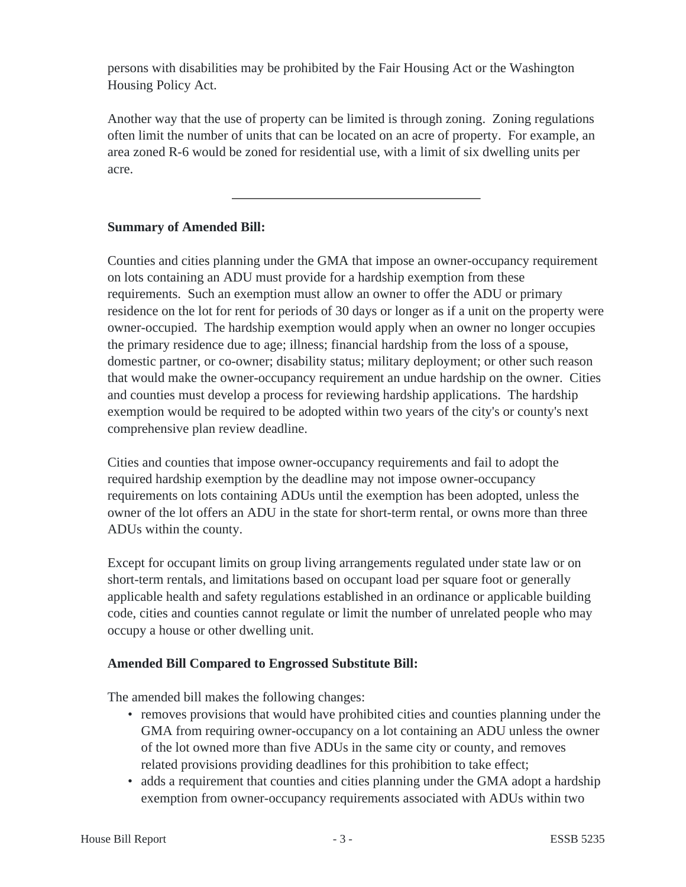persons with disabilities may be prohibited by the Fair Housing Act or the Washington Housing Policy Act.

Another way that the use of property can be limited is through zoning. Zoning regulations often limit the number of units that can be located on an acre of property. For example, an area zoned R-6 would be zoned for residential use, with a limit of six dwelling units per acre.

## **Summary of Amended Bill:**

Counties and cities planning under the GMA that impose an owner-occupancy requirement on lots containing an ADU must provide for a hardship exemption from these requirements. Such an exemption must allow an owner to offer the ADU or primary residence on the lot for rent for periods of 30 days or longer as if a unit on the property were owner-occupied. The hardship exemption would apply when an owner no longer occupies the primary residence due to age; illness; financial hardship from the loss of a spouse, domestic partner, or co-owner; disability status; military deployment; or other such reason that would make the owner-occupancy requirement an undue hardship on the owner. Cities and counties must develop a process for reviewing hardship applications. The hardship exemption would be required to be adopted within two years of the city's or county's next comprehensive plan review deadline.

Cities and counties that impose owner-occupancy requirements and fail to adopt the required hardship exemption by the deadline may not impose owner-occupancy requirements on lots containing ADUs until the exemption has been adopted, unless the owner of the lot offers an ADU in the state for short-term rental, or owns more than three ADUs within the county.

Except for occupant limits on group living arrangements regulated under state law or on short-term rentals, and limitations based on occupant load per square foot or generally applicable health and safety regulations established in an ordinance or applicable building code, cities and counties cannot regulate or limit the number of unrelated people who may occupy a house or other dwelling unit.

### **Amended Bill Compared to Engrossed Substitute Bill:**

The amended bill makes the following changes:

- removes provisions that would have prohibited cities and counties planning under the GMA from requiring owner-occupancy on a lot containing an ADU unless the owner of the lot owned more than five ADUs in the same city or county, and removes related provisions providing deadlines for this prohibition to take effect;
- adds a requirement that counties and cities planning under the GMA adopt a hardship exemption from owner-occupancy requirements associated with ADUs within two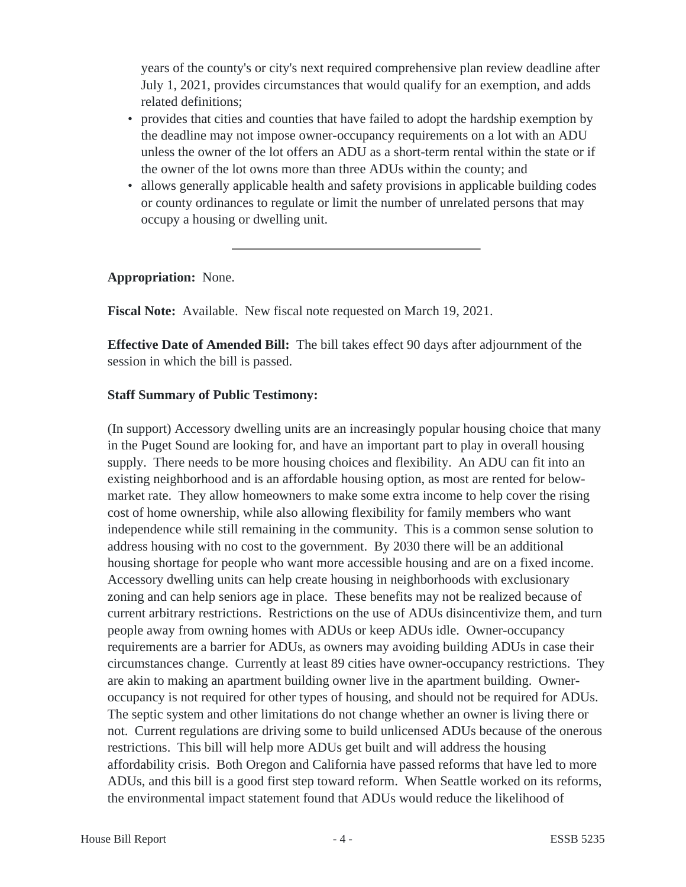years of the county's or city's next required comprehensive plan review deadline after July 1, 2021, provides circumstances that would qualify for an exemption, and adds related definitions;

- provides that cities and counties that have failed to adopt the hardship exemption by the deadline may not impose owner-occupancy requirements on a lot with an ADU unless the owner of the lot offers an ADU as a short-term rental within the state or if the owner of the lot owns more than three ADUs within the county; and
- allows generally applicable health and safety provisions in applicable building codes or county ordinances to regulate or limit the number of unrelated persons that may occupy a housing or dwelling unit.

**Appropriation:** None.

**Fiscal Note:** Available. New fiscal note requested on March 19, 2021.

**Effective Date of Amended Bill:** The bill takes effect 90 days after adjournment of the session in which the bill is passed.

#### **Staff Summary of Public Testimony:**

(In support) Accessory dwelling units are an increasingly popular housing choice that many in the Puget Sound are looking for, and have an important part to play in overall housing supply. There needs to be more housing choices and flexibility. An ADU can fit into an existing neighborhood and is an affordable housing option, as most are rented for belowmarket rate. They allow homeowners to make some extra income to help cover the rising cost of home ownership, while also allowing flexibility for family members who want independence while still remaining in the community. This is a common sense solution to address housing with no cost to the government. By 2030 there will be an additional housing shortage for people who want more accessible housing and are on a fixed income. Accessory dwelling units can help create housing in neighborhoods with exclusionary zoning and can help seniors age in place. These benefits may not be realized because of current arbitrary restrictions. Restrictions on the use of ADUs disincentivize them, and turn people away from owning homes with ADUs or keep ADUs idle. Owner-occupancy requirements are a barrier for ADUs, as owners may avoiding building ADUs in case their circumstances change. Currently at least 89 cities have owner-occupancy restrictions. They are akin to making an apartment building owner live in the apartment building. Owneroccupancy is not required for other types of housing, and should not be required for ADUs. The septic system and other limitations do not change whether an owner is living there or not. Current regulations are driving some to build unlicensed ADUs because of the onerous restrictions. This bill will help more ADUs get built and will address the housing affordability crisis. Both Oregon and California have passed reforms that have led to more ADUs, and this bill is a good first step toward reform. When Seattle worked on its reforms, the environmental impact statement found that ADUs would reduce the likelihood of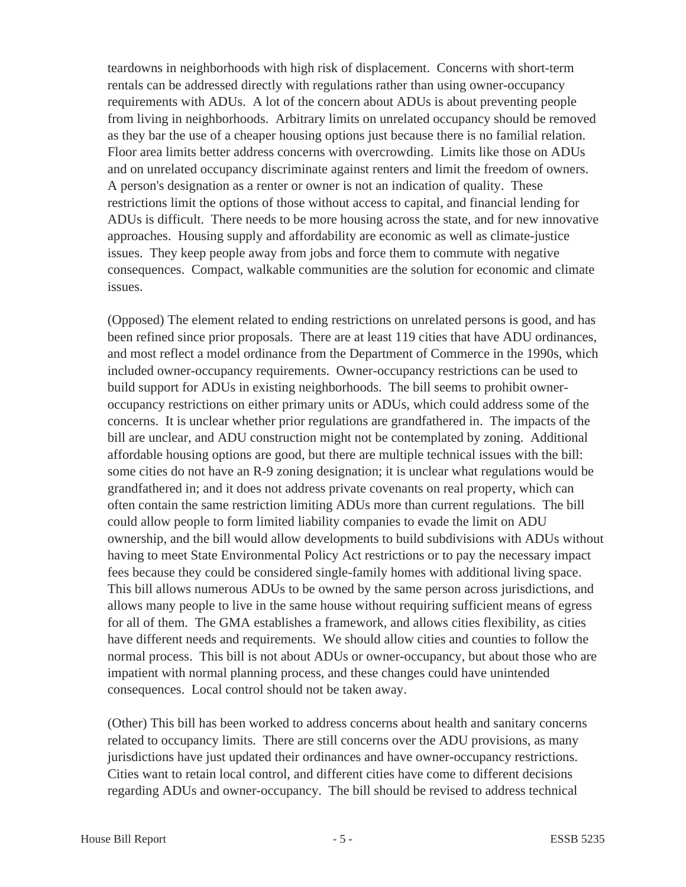teardowns in neighborhoods with high risk of displacement. Concerns with short-term rentals can be addressed directly with regulations rather than using owner-occupancy requirements with ADUs. A lot of the concern about ADUs is about preventing people from living in neighborhoods. Arbitrary limits on unrelated occupancy should be removed as they bar the use of a cheaper housing options just because there is no familial relation. Floor area limits better address concerns with overcrowding. Limits like those on ADUs and on unrelated occupancy discriminate against renters and limit the freedom of owners. A person's designation as a renter or owner is not an indication of quality. These restrictions limit the options of those without access to capital, and financial lending for ADUs is difficult. There needs to be more housing across the state, and for new innovative approaches. Housing supply and affordability are economic as well as climate-justice issues. They keep people away from jobs and force them to commute with negative consequences. Compact, walkable communities are the solution for economic and climate issues.

(Opposed) The element related to ending restrictions on unrelated persons is good, and has been refined since prior proposals. There are at least 119 cities that have ADU ordinances, and most reflect a model ordinance from the Department of Commerce in the 1990s, which included owner-occupancy requirements. Owner-occupancy restrictions can be used to build support for ADUs in existing neighborhoods. The bill seems to prohibit owneroccupancy restrictions on either primary units or ADUs, which could address some of the concerns. It is unclear whether prior regulations are grandfathered in. The impacts of the bill are unclear, and ADU construction might not be contemplated by zoning. Additional affordable housing options are good, but there are multiple technical issues with the bill: some cities do not have an R-9 zoning designation; it is unclear what regulations would be grandfathered in; and it does not address private covenants on real property, which can often contain the same restriction limiting ADUs more than current regulations. The bill could allow people to form limited liability companies to evade the limit on ADU ownership, and the bill would allow developments to build subdivisions with ADUs without having to meet State Environmental Policy Act restrictions or to pay the necessary impact fees because they could be considered single-family homes with additional living space. This bill allows numerous ADUs to be owned by the same person across jurisdictions, and allows many people to live in the same house without requiring sufficient means of egress for all of them. The GMA establishes a framework, and allows cities flexibility, as cities have different needs and requirements. We should allow cities and counties to follow the normal process. This bill is not about ADUs or owner-occupancy, but about those who are impatient with normal planning process, and these changes could have unintended consequences. Local control should not be taken away.

(Other) This bill has been worked to address concerns about health and sanitary concerns related to occupancy limits. There are still concerns over the ADU provisions, as many jurisdictions have just updated their ordinances and have owner-occupancy restrictions. Cities want to retain local control, and different cities have come to different decisions regarding ADUs and owner-occupancy. The bill should be revised to address technical